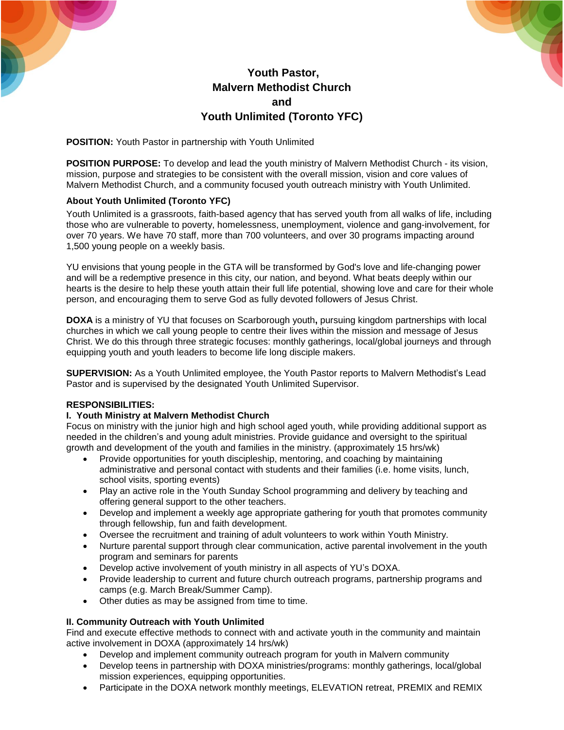



# **Youth Pastor, Malvern Methodist Church and Youth Unlimited (Toronto YFC)**

**POSITION:** Youth Pastor in partnership with Youth Unlimited

**POSITION PURPOSE:** To develop and lead the youth ministry of Malvern Methodist Church - its vision, mission, purpose and strategies to be consistent with the overall mission, vision and core values of Malvern Methodist Church, and a community focused youth outreach ministry with Youth Unlimited.

## **About Youth Unlimited (Toronto YFC)**

Youth Unlimited is a grassroots, faith-based agency that has served youth from all walks of life, including those who are vulnerable to poverty, homelessness, unemployment, violence and gang-involvement, for over 70 years. We have 70 staff, more than 700 volunteers, and over 30 programs impacting around 1,500 young people on a weekly basis.

YU envisions that young people in the GTA will be transformed by God's love and life-changing power and will be a redemptive presence in this city, our nation, and beyond. What beats deeply within our hearts is the desire to help these youth attain their full life potential, showing love and care for their whole person, and encouraging them to serve God as fully devoted followers of Jesus Christ.

**DOXA** is a ministry of YU that focuses on Scarborough youth**,** pursuing kingdom partnerships with local churches in which we call young people to centre their lives within the mission and message of Jesus Christ. We do this through three strategic focuses: monthly gatherings, local/global journeys and through equipping youth and youth leaders to become life long disciple makers.

**SUPERVISION:** As a Youth Unlimited employee, the Youth Pastor reports to Malvern Methodist's Lead Pastor and is supervised by the designated Youth Unlimited Supervisor.

### **RESPONSIBILITIES:**

### **I. Youth Ministry at Malvern Methodist Church**

Focus on ministry with the junior high and high school aged youth, while providing additional support as needed in the children's and young adult ministries. Provide guidance and oversight to the spiritual growth and development of the youth and families in the ministry. (approximately 15 hrs/wk)

- Provide opportunities for youth discipleship, mentoring, and coaching by maintaining administrative and personal contact with students and their families (i.e. home visits, lunch, school visits, sporting events)
- Play an active role in the Youth Sunday School programming and delivery by teaching and offering general support to the other teachers.
- Develop and implement a weekly age appropriate gathering for youth that promotes community through fellowship, fun and faith development.
- Oversee the recruitment and training of adult volunteers to work within Youth Ministry.
- Nurture parental support through clear communication, active parental involvement in the youth program and seminars for parents
- Develop active involvement of youth ministry in all aspects of YU's DOXA.
- Provide leadership to current and future church outreach programs, partnership programs and camps (e.g. March Break/Summer Camp).
- Other duties as may be assigned from time to time.

## **II. Community Outreach with Youth Unlimited**

Find and execute effective methods to connect with and activate youth in the community and maintain active involvement in DOXA (approximately 14 hrs/wk)

- Develop and implement community outreach program for youth in Malvern community
- Develop teens in partnership with DOXA ministries/programs: monthly gatherings, local/global mission experiences, equipping opportunities.
- Participate in the DOXA network monthly meetings, ELEVATION retreat, PREMIX and REMIX